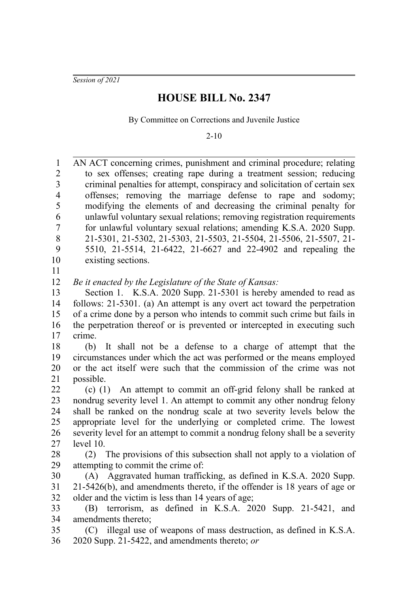*Session of 2021*

## **HOUSE BILL No. 2347**

By Committee on Corrections and Juvenile Justice

2-10

AN ACT concerning crimes, punishment and criminal procedure; relating to sex offenses; creating rape during a treatment session; reducing criminal penalties for attempt, conspiracy and solicitation of certain sex offenses; removing the marriage defense to rape and sodomy; modifying the elements of and decreasing the criminal penalty for unlawful voluntary sexual relations; removing registration requirements for unlawful voluntary sexual relations; amending K.S.A. 2020 Supp. 21-5301, 21-5302, 21-5303, 21-5503, 21-5504, 21-5506, 21-5507, 21- 5510, 21-5514, 21-6422, 21-6627 and 22-4902 and repealing the existing sections. 1 2 3 4 5 6 7 8  $\mathbf{Q}$ 10

11

*Be it enacted by the Legislature of the State of Kansas:* 12

Section 1. K.S.A. 2020 Supp. 21-5301 is hereby amended to read as follows: 21-5301. (a) An attempt is any overt act toward the perpetration of a crime done by a person who intends to commit such crime but fails in the perpetration thereof or is prevented or intercepted in executing such crime. 13 14 15 16 17

(b) It shall not be a defense to a charge of attempt that the circumstances under which the act was performed or the means employed or the act itself were such that the commission of the crime was not possible. 18 19 20 21

(c) (1) An attempt to commit an off-grid felony shall be ranked at nondrug severity level 1. An attempt to commit any other nondrug felony shall be ranked on the nondrug scale at two severity levels below the appropriate level for the underlying or completed crime. The lowest severity level for an attempt to commit a nondrug felony shall be a severity level 10. 22 23 24 25 26 27

(2) The provisions of this subsection shall not apply to a violation of attempting to commit the crime of: 28 29

(A) Aggravated human trafficking, as defined in K.S.A. 2020 Supp. 21-5426(b), and amendments thereto, if the offender is 18 years of age or older and the victim is less than 14 years of age; 30 31 32

(B) terrorism, as defined in K.S.A. 2020 Supp. 21-5421, and amendments thereto; 33 34

(C) illegal use of weapons of mass destruction, as defined in K.S.A. 2020 Supp. 21-5422, and amendments thereto; *or* 35 36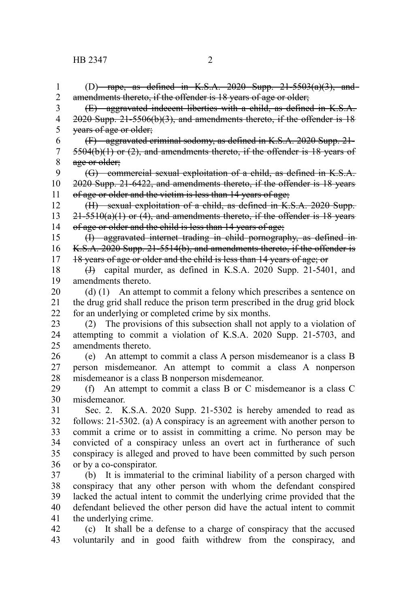(D) rape, as defined in K.S.A. 2020 Supp.  $21-5503(a)(3)$ , and amendments thereto, if the offender is 18 years of age or older; (E) aggravated indecent liberties with a child, as defined in K.S.A. 2020 Supp. 21-5506(b)(3), and amendments thereto, if the offender is 18 years of age or older; (F) aggravated criminal sodomy, as defined in K.S.A. 2020 Supp. 21- 5504(b)(1) or (2), and amendments thereto, if the offender is 18 years of age or older; (G) commercial sexual exploitation of a child, as defined in K.S.A. 2020 Supp. 21-6422, and amendments thereto, if the offender is 18 years of age or older and the victim is less than 14 years of age; (H) sexual exploitation of a child, as defined in K.S.A. 2020 Supp.  $21-5510(a)(1)$  or (4), and amendments thereto, if the offender is 18 years of age or older and the child is less than 14 years of age; (I) aggravated internet trading in child pornography, as defined in K.S.A. 2020 Supp. 21-5514(b), and amendments thereto, if the offender is 18 years of age or older and the child is less than 14 years of age; or (J) capital murder, as defined in K.S.A. 2020 Supp. 21-5401, and amendments thereto. (d) (1) An attempt to commit a felony which prescribes a sentence on the drug grid shall reduce the prison term prescribed in the drug grid block for an underlying or completed crime by six months. (2) The provisions of this subsection shall not apply to a violation of attempting to commit a violation of K.S.A. 2020 Supp. 21-5703, and amendments thereto. (e) An attempt to commit a class A person misdemeanor is a class B person misdemeanor. An attempt to commit a class A nonperson misdemeanor is a class B nonperson misdemeanor. (f) An attempt to commit a class B or C misdemeanor is a class C misdemeanor. Sec. 2. K.S.A. 2020 Supp. 21-5302 is hereby amended to read as follows: 21-5302. (a) A conspiracy is an agreement with another person to commit a crime or to assist in committing a crime. No person may be convicted of a conspiracy unless an overt act in furtherance of such conspiracy is alleged and proved to have been committed by such person or by a co-conspirator. (b) It is immaterial to the criminal liability of a person charged with conspiracy that any other person with whom the defendant conspired lacked the actual intent to commit the underlying crime provided that the defendant believed the other person did have the actual intent to commit the underlying crime. (c) It shall be a defense to a charge of conspiracy that the accused voluntarily and in good faith withdrew from the conspiracy, and 1 2 3 4 5 6 7 8 9 10 11 12 13 14 15 16 17 18 19 20 21 22 23 24 25 26 27 28 29 30 31 32 33 34 35 36 37 38 39 40 41 42 43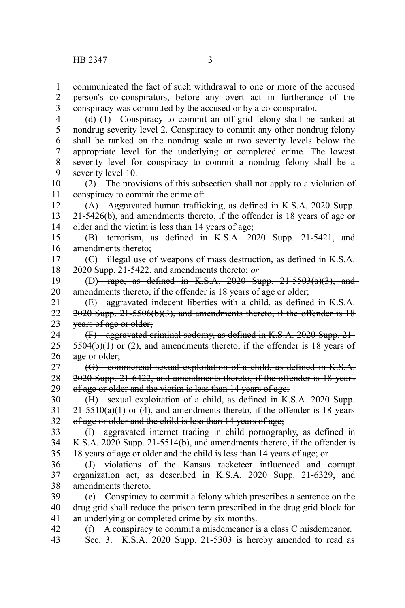communicated the fact of such withdrawal to one or more of the accused person's co-conspirators, before any overt act in furtherance of the conspiracy was committed by the accused or by a co-conspirator. 1 2 3

(d) (1) Conspiracy to commit an off-grid felony shall be ranked at nondrug severity level 2. Conspiracy to commit any other nondrug felony shall be ranked on the nondrug scale at two severity levels below the appropriate level for the underlying or completed crime. The lowest severity level for conspiracy to commit a nondrug felony shall be a severity level 10. 4 5 6 7 8 9

(2) The provisions of this subsection shall not apply to a violation of conspiracy to commit the crime of: 10 11

(A) Aggravated human trafficking, as defined in K.S.A. 2020 Supp. 21-5426(b), and amendments thereto, if the offender is 18 years of age or older and the victim is less than 14 years of age; 12 13 14

(B) terrorism, as defined in K.S.A. 2020 Supp. 21-5421, and amendments thereto; 15 16

(C) illegal use of weapons of mass destruction, as defined in K.S.A. 2020 Supp. 21-5422, and amendments thereto; *or* 17 18

(D) rape, as defined in K.S.A. 2020 Supp.  $21-5503(a)(3)$ , and amendments thereto, if the offender is 18 years of age or older; 19 20

(E) aggravated indecent liberties with a child, as defined in K.S.A. 2020 Supp. 21-5506(b)(3), and amendments thereto, if the offender is 18 years of age or older; 21 22 23

(F) aggravated criminal sodomy, as defined in K.S.A. 2020 Supp. 21-  $5504(b)(1)$  or  $(2)$ , and amendments thereto, if the offender is 18 years of age or older; 24 25 26

(G) commercial sexual exploitation of a child, as defined in K.S.A. 2020 Supp. 21-6422, and amendments thereto, if the offender is 18 years of age or older and the victim is less than 14 years of age; 27 28 29

(H) sexual exploitation of a child, as defined in K.S.A. 2020 Supp.  $21-5510(a)(1)$  or (4), and amendments thereto, if the offender is 18 years of age or older and the child is less than 14 years of age; 30 31 32

(I) aggravated internet trading in child pornography, as defined in K.S.A. 2020 Supp. 21-5514(b), and amendments thereto, if the offender is 18 years of age or older and the child is less than 14 years of age; or 33 34 35

(J) violations of the Kansas racketeer influenced and corrupt organization act, as described in K.S.A. 2020 Supp. 21-6329, and amendments thereto. 36 37 38

(e) Conspiracy to commit a felony which prescribes a sentence on the drug grid shall reduce the prison term prescribed in the drug grid block for an underlying or completed crime by six months. 39 40 41

(f) A conspiracy to commit a misdemeanor is a class C misdemeanor. Sec. 3. K.S.A. 2020 Supp. 21-5303 is hereby amended to read as 42 43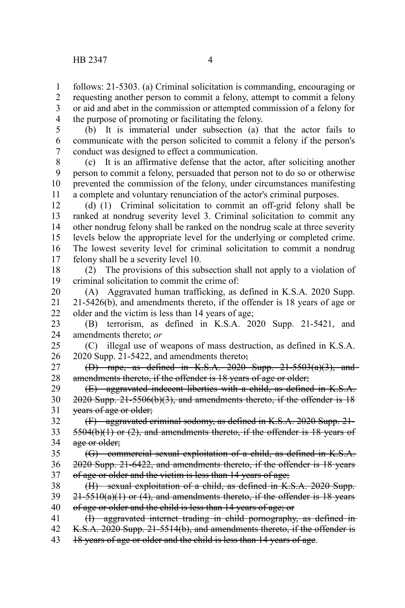follows: 21-5303. (a) Criminal solicitation is commanding, encouraging or requesting another person to commit a felony, attempt to commit a felony or aid and abet in the commission or attempted commission of a felony for the purpose of promoting or facilitating the felony. 1 2 3 4

5

(b) It is immaterial under subsection (a) that the actor fails to communicate with the person solicited to commit a felony if the person's conduct was designed to effect a communication. 6 7

(c) It is an affirmative defense that the actor, after soliciting another person to commit a felony, persuaded that person not to do so or otherwise prevented the commission of the felony, under circumstances manifesting a complete and voluntary renunciation of the actor's criminal purposes. 8 9 10 11

(d) (1) Criminal solicitation to commit an off-grid felony shall be ranked at nondrug severity level 3. Criminal solicitation to commit any other nondrug felony shall be ranked on the nondrug scale at three severity levels below the appropriate level for the underlying or completed crime. The lowest severity level for criminal solicitation to commit a nondrug felony shall be a severity level 10. 12 13 14 15 16 17

(2) The provisions of this subsection shall not apply to a violation of criminal solicitation to commit the crime of: 18 19

(A) Aggravated human trafficking, as defined in K.S.A. 2020 Supp. 21-5426(b), and amendments thereto, if the offender is 18 years of age or older and the victim is less than 14 years of age; 20 21 22

(B) terrorism, as defined in K.S.A. 2020 Supp. 21-5421, and amendments thereto; *or* 23 24

(C) illegal use of weapons of mass destruction, as defined in K.S.A. 2020 Supp. 21-5422, and amendments thereto; 25 26

(D) rape, as defined in K.S.A. 2020 Supp.  $21-5503(a)(3)$ , and amendments thereto, if the offender is 18 years of age or older; 27 28

(E) aggravated indecent liberties with a child, as defined in K.S.A. 2020 Supp. 21-5506(b)(3), and amendments thereto, if the offender is 18 years of age or older; 29 30 31

(F) aggravated criminal sodomy, as defined in K.S.A. 2020 Supp. 21- 5504(b)(1) or (2), and amendments thereto, if the offender is 18 years of age or older; 32 33 34

(G) commercial sexual exploitation of a child, as defined in K.S.A. 2020 Supp. 21-6422, and amendments thereto, if the offender is 18 years of age or older and the victim is less than 14 years of age; 35 36 37

(H) sexual exploitation of a child, as defined in K.S.A. 2020 Supp.  $21-5510(a)(1)$  or (4), and amendments thereto, if the offender is 18 years of age or older and the child is less than 14 years of age; or 38 39 40

(I) aggravated internet trading in child pornography, as defined in K.S.A. 2020 Supp. 21-5514(b), and amendments thereto, if the offender is 18 years of age or older and the child is less than 14 years of age. 41 42 43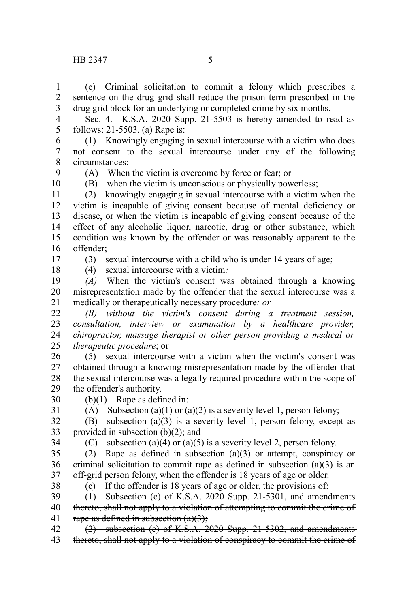## HB 2347 5

(e) Criminal solicitation to commit a felony which prescribes a sentence on the drug grid shall reduce the prison term prescribed in the drug grid block for an underlying or completed crime by six months. 1 2 3

Sec. 4. K.S.A. 2020 Supp. 21-5503 is hereby amended to read as follows: 21-5503. (a) Rape is: 4 5

(1) Knowingly engaging in sexual intercourse with a victim who does not consent to the sexual intercourse under any of the following circumstances: 6 7 8

9

(A) When the victim is overcome by force or fear; or

10

(B) when the victim is unconscious or physically powerless;

(2) knowingly engaging in sexual intercourse with a victim when the victim is incapable of giving consent because of mental deficiency or disease, or when the victim is incapable of giving consent because of the effect of any alcoholic liquor, narcotic, drug or other substance, which condition was known by the offender or was reasonably apparent to the offender; 11 12 13 14 15 16

17 18 (3) sexual intercourse with a child who is under 14 years of age; (4) sexual intercourse with a victim*:*

(b)(1) Rape as defined in:

*(A)* When the victim's consent was obtained through a knowing misrepresentation made by the offender that the sexual intercourse was a medically or therapeutically necessary procedure*; or* 19 20 21

*(B) without the victim's consent during a treatment session, consultation, interview or examination by a healthcare provider, chiropractor, massage therapist or other person providing a medical or therapeutic procedure*; or 22 23 24 25

(5) sexual intercourse with a victim when the victim's consent was obtained through a knowing misrepresentation made by the offender that the sexual intercourse was a legally required procedure within the scope of the offender's authority. 26 27 28 29

30 31

(A) Subsection (a)(1) or (a)(2) is a severity level 1, person felony;

(B) subsection (a)(3) is a severity level 1, person felony, except as provided in subsection (b)(2); and 32 33

34

(C) subsection (a)(4) or (a)(5) is a severity level 2, person felony.

(2) Rape as defined in subsection  $(a)(3)$  or attempt, conspiracy or eriminal solicitation to commit rape as defined in subsection  $(a)(3)$  is an off-grid person felony, when the offender is 18 years of age or older. 35 36 37

38

 $(c)$  If the offender is 18 years of age or older, the provisions of:

(1) Subsection (c) of K.S.A. 2020 Supp. 21-5301, and amendments thereto, shall not apply to a violation of attempting to commit the crime of rape as defined in subsection  $(a)(3)$ ; 39 40 41

(2) subsection (c) of K.S.A. 2020 Supp. 21-5302, and amendments thereto, shall not apply to a violation of conspiracy to commit the crime of 42 43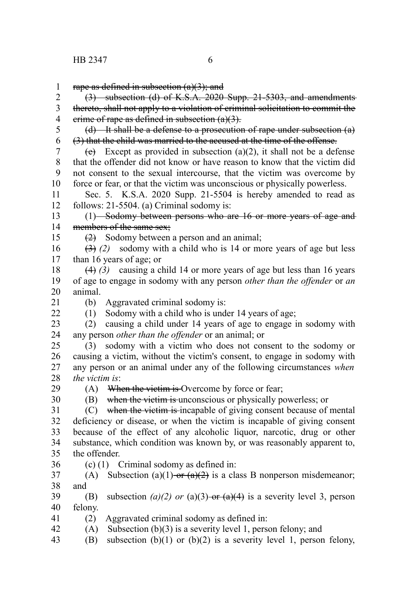rape as defined in subsection  $(a)(3)$ ; and 1

(3) subsection (d) of K.S.A. 2020 Supp. 21-5303, and amendments thereto, shall not apply to a violation of criminal solicitation to commit the erime of rape as defined in subsection  $(a)(3)$ . 2 3 4

(d) It shall be a defense to a prosecution of rape under subsection (a) (3) that the child was married to the accused at the time of the offense. 5 6

(e) Except as provided in subsection (a)(2), it shall not be a defense that the offender did not know or have reason to know that the victim did not consent to the sexual intercourse, that the victim was overcome by force or fear, or that the victim was unconscious or physically powerless. 7 8 9 10

Sec. 5. K.S.A. 2020 Supp. 21-5504 is hereby amended to read as follows: 21-5504. (a) Criminal sodomy is: 11 12

(1) Sodomy between persons who are 16 or more years of age and members of the same sex: 13 14

(2) Sodomy between a person and an animal;

(3) *(2)* sodomy with a child who is 14 or more years of age but less than 16 years of age; or 16 17

(4) *(3)* causing a child 14 or more years of age but less than 16 years of age to engage in sodomy with any person *other than the offender* or *an* animal. 18 19 20

21  $22$ 

15

(b) Aggravated criminal sodomy is:

(1) Sodomy with a child who is under 14 years of age;

(2) causing a child under 14 years of age to engage in sodomy with any person *other than the offender* or an animal; or 23 24

(3) sodomy with a victim who does not consent to the sodomy or causing a victim, without the victim's consent, to engage in sodomy with any person or an animal under any of the following circumstances *when the victim is*: 25 26 27 28

29 30  $(A)$  When the vietim is Overcome by force or fear;

(B) when the victim is unconscious or physically powerless; or

(C) when the victim is incapable of giving consent because of mental deficiency or disease, or when the victim is incapable of giving consent because of the effect of any alcoholic liquor, narcotic, drug or other substance, which condition was known by, or was reasonably apparent to, the offender. 31 32 33 34 35

36

(c) (1) Criminal sodomy as defined in:

(A) Subsection (a)(1) or  $(a)(2)$  is a class B nonperson misdemeanor; and 37 38

(B) subsection *(a)(2) or* (a)(3) or  $\left(\frac{a}{4}\right)$  is a severity level 3, person felony. 39 40

- (2) Aggravated criminal sodomy as defined in: 41
- (A) Subsection  $(b)(3)$  is a severity level 1, person felony; and 42
- (B) subsection  $(b)(1)$  or  $(b)(2)$  is a severity level 1, person felony, 43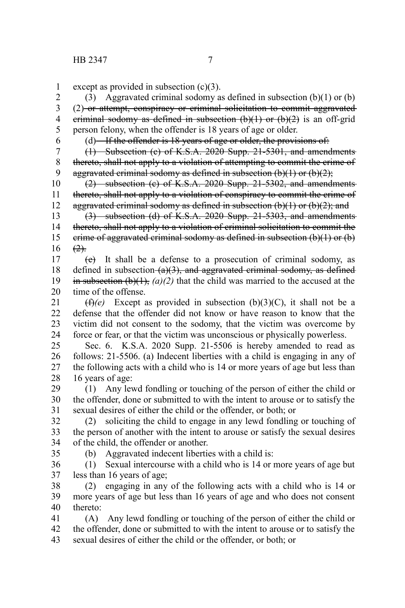except as provided in subsection (c)(3). 1

(3) Aggravated criminal sodomy as defined in subsection  $(b)(1)$  or  $(b)$ (2) or attempt, conspiracy or criminal solicitation to commit aggravated eriminal sodomy as defined in subsection  $(b)(1)$  or  $(b)(2)$  is an off-grid person felony, when the offender is 18 years of age or older. 2 3 4 5

6

 $(d)$ —If the offender is 18 years of age or older, the provisions of:

(1) Subsection (c) of K.S.A. 2020 Supp. 21-5301, and amendments thereto, shall not apply to a violation of attempting to commit the crime of aggravated criminal sodomy as defined in subsection  $(b)(1)$  or  $(b)(2)$ ; 7 8 9

(2) subsection (c) of K.S.A. 2020 Supp. 21-5302, and amendments thereto, shall not apply to a violation of conspiracy to commit the crime of aggravated criminal sodomy as defined in subsection  $(b)(1)$  or  $(b)(2)$ ; and 10 11 12

(3) subsection (d) of K.S.A. 2020 Supp. 21-5303, and amendments thereto, shall not apply to a violation of criminal solicitation to commit the crime of aggravated criminal sodomy as defined in subsection  $(b)(1)$  or  $(b)$  $(2)$ . 13 14 15 16

(e) It shall be a defense to a prosecution of criminal sodomy, as defined in subsection  $(a)(3)$ , and aggravated criminal sodomy, as defined in subsection  $(b)(1)$ ,  $(a)(2)$  that the child was married to the accused at the time of the offense. 17 18 19 20

 $(f)(e)$  Except as provided in subsection (b)(3)(C), it shall not be a defense that the offender did not know or have reason to know that the victim did not consent to the sodomy, that the victim was overcome by force or fear, or that the victim was unconscious or physically powerless. 21 22 23 24

Sec. 6. K.S.A. 2020 Supp. 21-5506 is hereby amended to read as follows: 21-5506. (a) Indecent liberties with a child is engaging in any of the following acts with a child who is 14 or more years of age but less than 16 years of age: 25 26 27 28

(1) Any lewd fondling or touching of the person of either the child or the offender, done or submitted to with the intent to arouse or to satisfy the sexual desires of either the child or the offender, or both; or 29 30 31

(2) soliciting the child to engage in any lewd fondling or touching of the person of another with the intent to arouse or satisfy the sexual desires of the child, the offender or another. 32 33 34

35

(b) Aggravated indecent liberties with a child is:

(1) Sexual intercourse with a child who is 14 or more years of age but less than 16 years of age; 36 37

(2) engaging in any of the following acts with a child who is 14 or more years of age but less than 16 years of age and who does not consent thereto: 38 39 40

(A) Any lewd fondling or touching of the person of either the child or the offender, done or submitted to with the intent to arouse or to satisfy the sexual desires of either the child or the offender, or both; or 41 42 43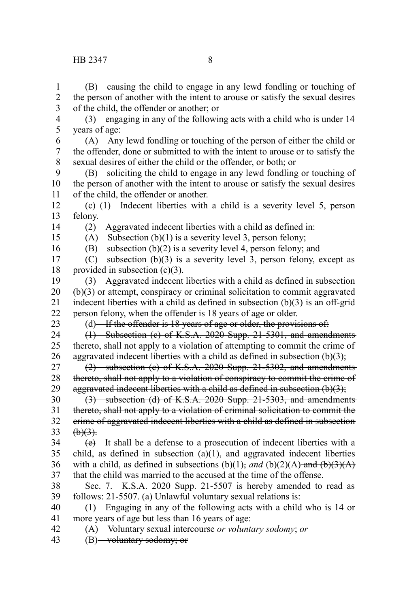(B) causing the child to engage in any lewd fondling or touching of the person of another with the intent to arouse or satisfy the sexual desires of the child, the offender or another; or 1 2 3

(3) engaging in any of the following acts with a child who is under 14 years of age: 4 5

(A) Any lewd fondling or touching of the person of either the child or the offender, done or submitted to with the intent to arouse or to satisfy the sexual desires of either the child or the offender, or both; or 6 7 8

(B) soliciting the child to engage in any lewd fondling or touching of the person of another with the intent to arouse or satisfy the sexual desires of the child, the offender or another. 9 10 11

(c) (1) Indecent liberties with a child is a severity level 5, person felony. 12 13

14 15 (2) Aggravated indecent liberties with a child as defined in:

(A) Subsection  $(b)(1)$  is a severity level 3, person felony; (B) subsection (b)(2) is a severity level 4, person felony; and

16

(C) subsection (b)(3) is a severity level 3, person felony, except as provided in subsection  $(c)(3)$ . 17 18

(3) Aggravated indecent liberties with a child as defined in subsection  $(b)(3)$  or attempt, conspiracy or criminal solicitation to commit aggravated indecent liberties with a child as defined in subsection  $(b)(3)$  is an off-grid person felony, when the offender is 18 years of age or older. 19 20 21 22

23

(d) If the offender is  $18$  years of age or older, the provisions of:

(1) Subsection (c) of K.S.A. 2020 Supp. 21-5301, and amendments thereto, shall not apply to a violation of attempting to commit the crime of aggravated indecent liberties with a child as defined in subsection  $(b)(3)$ ; 24 25 26

(2) subsection (c) of K.S.A. 2020 Supp. 21-5302, and amendments thereto, shall not apply to a violation of conspiracy to commit the crime of aggravated indecent liberties with a child as defined in subsection  $(b)(3)$ ; 27 28 29

(3) subsection (d) of K.S.A. 2020 Supp. 21-5303, and amendments thereto, shall not apply to a violation of criminal solicitation to commit the crime of aggravated indecent liberties with a child as defined in subsection  $\left(\frac{b}{3}\right)$ . 30 31 32 33

(e) It shall be a defense to a prosecution of indecent liberties with a child, as defined in subsection  $(a)(1)$ , and aggravated indecent liberties with a child, as defined in subsections  $(b)(1)$ , and  $(b)(2)(A)$ -and  $(b)(3)(A)$ that the child was married to the accused at the time of the offense. 34 35 36 37

Sec. 7. K.S.A. 2020 Supp. 21-5507 is hereby amended to read as follows: 21-5507. (a) Unlawful voluntary sexual relations is: 38 39

(1) Engaging in any of the following acts with a child who is 14 or more years of age but less than 16 years of age: 40 41

- (A) Voluntary sexual intercourse *or voluntary sodomy*; *or* 42
- (B) voluntary sodomy; or 43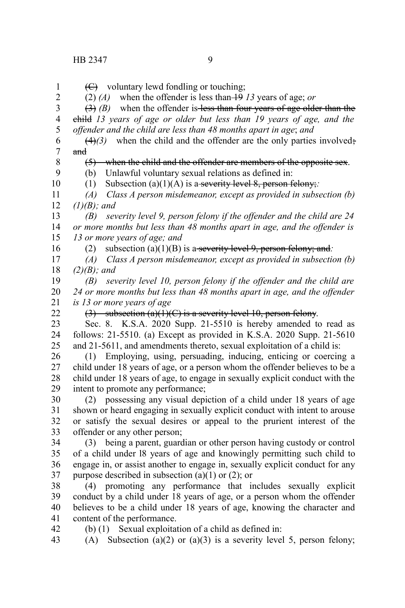(C) voluntary lewd fondling or touching; (2) *(A)* when the offender is less than 19 *13* years of age; *or*  $(3)$  (B) when the offender is less than four years of age older than the child *13 years of age or older but less than 19 years of age, and the offender and the child are less than 48 months apart in age*; *and*  $(4)$ (3) when the child and the offender are the only parties involved; and (5) when the child and the offender are members of the opposite sex. (b) Unlawful voluntary sexual relations as defined in: (1) Subsection (a)(1)(A) is a severity level 8, person felony;*: (A) Class A person misdemeanor, except as provided in subsection (b) (1)(B); and (B) severity level 9, person felony if the offender and the child are 24 or more months but less than 48 months apart in age, and the offender is 13 or more years of age; and* (2) subsection  $(a)(1)(B)$  is a severity level 9, person felony; and: *(A) Class A person misdemeanor, except as provided in subsection (b) (2)(B); and (B) severity level 10, person felony if the offender and the child are 24 or more months but less than 48 months apart in age, and the offender is 13 or more years of age* (3) subsection  $(a)(1)(C)$  is a severity level 10, person felony. Sec. 8. K.S.A. 2020 Supp. 21-5510 is hereby amended to read as follows: 21-5510. (a) Except as provided in K.S.A. 2020 Supp. 21-5610 and 21-5611, and amendments thereto, sexual exploitation of a child is: (1) Employing, using, persuading, inducing, enticing or coercing a child under 18 years of age, or a person whom the offender believes to be a child under 18 years of age, to engage in sexually explicit conduct with the intent to promote any performance; (2) possessing any visual depiction of a child under 18 years of age shown or heard engaging in sexually explicit conduct with intent to arouse or satisfy the sexual desires or appeal to the prurient interest of the offender or any other person; (3) being a parent, guardian or other person having custody or control of a child under l8 years of age and knowingly permitting such child to engage in, or assist another to engage in, sexually explicit conduct for any purpose described in subsection  $(a)(1)$  or  $(2)$ ; or (4) promoting any performance that includes sexually explicit conduct by a child under 18 years of age, or a person whom the offender believes to be a child under 18 years of age, knowing the character and content of the performance. (b) (1) Sexual exploitation of a child as defined in: (A) Subsection (a)(2) or (a)(3) is a severity level 5, person felony; 1 2 3 4 5 6 7 8 9 10 11 12 13 14 15 16 17 18 19 20 21 22 23 24 25 26 27 28 29 30 31 32 33 34 35 36 37 38 39 40 41 42 43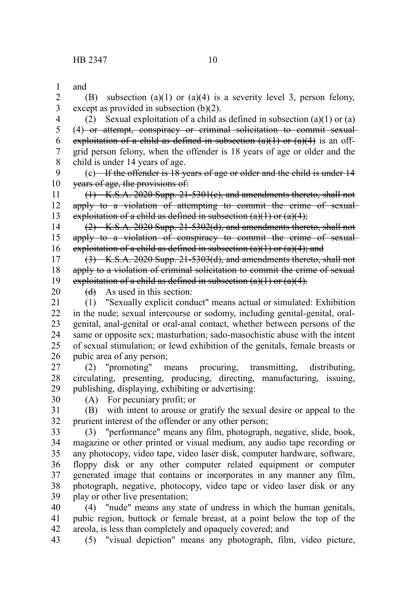and (B) subsection (a)(1) or (a)(4) is a severity level 3, person felony, except as provided in subsection (b)(2). 1 2 3

(2) Sexual exploitation of a child as defined in subsection  $(a)(1)$  or  $(a)$ (4) or attempt, conspiracy or criminal solicitation to commit sexualexploitation of a child as defined in subsection  $(a)(1)$  or  $(a)(4)$  is an offgrid person felony, when the offender is 18 years of age or older and the child is under 14 years of age. 4 5 6 7 8

(c) If the offender is 18 years of age or older and the child is under 14 years of age, the provisions of: 9 10

(1) K.S.A. 2020 Supp. 21-5301(c), and amendments thereto, shall not apply to a violation of attempting to commit the crime of sexualexploitation of a child as defined in subsection  $(a)(1)$  or  $(a)(4)$ ; 11 12 13

(2) K.S.A. 2020 Supp. 21-5302(d), and amendments thereto, shall not apply to a violation of conspiracy to commit the crime of sexual exploitation of a child as defined in subsection  $(a)(1)$  or  $(a)(4)$ ; and 14 15 16

(3) K.S.A. 2020 Supp. 21-5303(d), and amendments thereto, shall not apply to a violation of criminal solicitation to commit the crime of sexual exploitation of a child as defined in subsection  $(a)(1)$  or  $(a)(4)$ . 17 18 19

20

 $(d)$  As used in this section:

(1) "Sexually explicit conduct" means actual or simulated: Exhibition in the nude; sexual intercourse or sodomy, including genital-genital, oralgenital, anal-genital or oral-anal contact, whether between persons of the same or opposite sex; masturbation; sado-masochistic abuse with the intent of sexual stimulation; or lewd exhibition of the genitals, female breasts or pubic area of any person; 21 22 23 24 25 26

(2) "promoting" means procuring, transmitting, distributing, circulating, presenting, producing, directing, manufacturing, issuing, publishing, displaying, exhibiting or advertising: 27 28 29

30

(A) For pecuniary profit; or

(B) with intent to arouse or gratify the sexual desire or appeal to the prurient interest of the offender or any other person; 31 32

(3) "performance" means any film, photograph, negative, slide, book, magazine or other printed or visual medium, any audio tape recording or any photocopy, video tape, video laser disk, computer hardware, software, floppy disk or any other computer related equipment or computer generated image that contains or incorporates in any manner any film, photograph, negative, photocopy, video tape or video laser disk or any play or other live presentation; 33 34 35 36 37 38 39

(4) "nude" means any state of undress in which the human genitals, pubic region, buttock or female breast, at a point below the top of the areola, is less than completely and opaquely covered; and 40 41 42

(5) "visual depiction" means any photograph, film, video picture, 43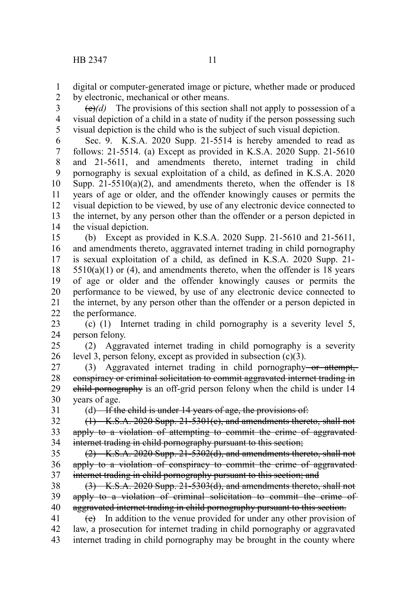digital or computer-generated image or picture, whether made or produced by electronic, mechanical or other means. 1 2

 $\left(\frac{e}{e}\right)$  The provisions of this section shall not apply to possession of a visual depiction of a child in a state of nudity if the person possessing such visual depiction is the child who is the subject of such visual depiction. 3 4 5

Sec. 9. K.S.A. 2020 Supp. 21-5514 is hereby amended to read as follows: 21-5514. (a) Except as provided in K.S.A. 2020 Supp. 21-5610 and 21-5611, and amendments thereto, internet trading in child pornography is sexual exploitation of a child, as defined in K.S.A. 2020 Supp.  $21-5510(a)(2)$ , and amendments thereto, when the offender is 18 years of age or older, and the offender knowingly causes or permits the visual depiction to be viewed, by use of any electronic device connected to the internet, by any person other than the offender or a person depicted in the visual depiction. 6 7 8 9 10 11 12 13 14

(b) Except as provided in K.S.A. 2020 Supp. 21-5610 and 21-5611, and amendments thereto, aggravated internet trading in child pornography is sexual exploitation of a child, as defined in K.S.A. 2020 Supp. 21-  $5510(a)(1)$  or (4), and amendments thereto, when the offender is 18 years of age or older and the offender knowingly causes or permits the performance to be viewed, by use of any electronic device connected to the internet, by any person other than the offender or a person depicted in the performance. 15 16 17 18 19 20 21 22

(c) (1) Internet trading in child pornography is a severity level 5, person felony. 23 24

(2) Aggravated internet trading in child pornography is a severity level 3, person felony, except as provided in subsection (c)(3). 25 26

(3) Aggravated internet trading in child pornography-or attempt, conspiracy or criminal solicitation to commit aggravated internet trading in child pornography is an off-grid person felony when the child is under 14 years of age. 27 28 29 30

31

 $(d)$ —If the child is under 14 years of age, the provisions of:

(1) K.S.A. 2020 Supp. 21-5301(c), and amendments thereto, shall not apply to a violation of attempting to commit the crime of aggravatedinternet trading in child pornography pursuant to this section; 32 33 34

(2) K.S.A. 2020 Supp. 21-5302(d), and amendments thereto, shall not apply to a violation of conspiracy to commit the crime of aggravatedinternet trading in child pornography pursuant to this section; and 35 36 37

(3) K.S.A. 2020 Supp. 21-5303(d), and amendments thereto, shall not apply to a violation of criminal solicitation to commit the crime of aggravated internet trading in child pornography pursuant to this section. 38 39 40

 $(e)$  In addition to the venue provided for under any other provision of law, a prosecution for internet trading in child pornography or aggravated internet trading in child pornography may be brought in the county where 41 42 43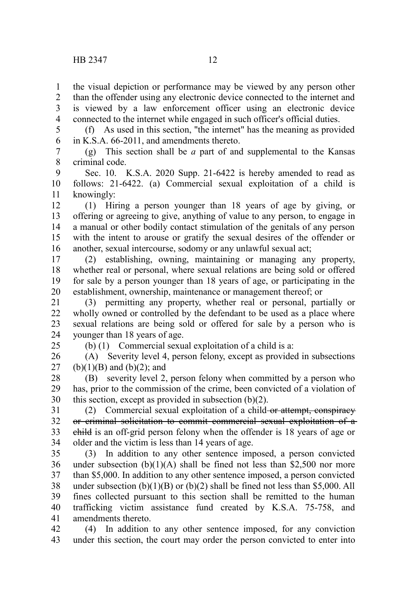the visual depiction or performance may be viewed by any person other 1

than the offender using any electronic device connected to the internet and is viewed by a law enforcement officer using an electronic device connected to the internet while engaged in such officer's official duties. 2 3 4

(f) As used in this section, "the internet" has the meaning as provided in K.S.A. 66-2011, and amendments thereto. 5 6

(g) This section shall be *a* part of and supplemental to the Kansas criminal code. 7 8

Sec. 10. K.S.A. 2020 Supp. 21-6422 is hereby amended to read as follows: 21-6422. (a) Commercial sexual exploitation of a child is knowingly: 9 10 11

(1) Hiring a person younger than 18 years of age by giving, or offering or agreeing to give, anything of value to any person, to engage in a manual or other bodily contact stimulation of the genitals of any person with the intent to arouse or gratify the sexual desires of the offender or another, sexual intercourse, sodomy or any unlawful sexual act; 12 13 14 15 16

(2) establishing, owning, maintaining or managing any property, whether real or personal, where sexual relations are being sold or offered for sale by a person younger than 18 years of age, or participating in the establishment, ownership, maintenance or management thereof; or 17 18 19 20

(3) permitting any property, whether real or personal, partially or wholly owned or controlled by the defendant to be used as a place where sexual relations are being sold or offered for sale by a person who is younger than 18 years of age. 21 22 23 24

25

(b) (1) Commercial sexual exploitation of a child is a:

(A) Severity level 4, person felony, except as provided in subsections  $(b)(1)(B)$  and  $(b)(2)$ ; and 26 27

(B) severity level 2, person felony when committed by a person who has, prior to the commission of the crime, been convicted of a violation of this section, except as provided in subsection (b)(2). 28 29 30

(2) Commercial sexual exploitation of a child-or attempt, conspiracy or criminal solicitation to commit commercial sexual exploitation of a child is an off-grid person felony when the offender is 18 years of age or older and the victim is less than 14 years of age. 31 32 33 34

(3) In addition to any other sentence imposed, a person convicted under subsection  $(b)(1)(A)$  shall be fined not less than \$2,500 nor more than \$5,000. In addition to any other sentence imposed, a person convicted under subsection  $(b)(1)(B)$  or  $(b)(2)$  shall be fined not less than \$5,000. All fines collected pursuant to this section shall be remitted to the human trafficking victim assistance fund created by K.S.A. 75-758, and amendments thereto. 35 36 37 38 39 40 41

(4) In addition to any other sentence imposed, for any conviction under this section, the court may order the person convicted to enter into 42 43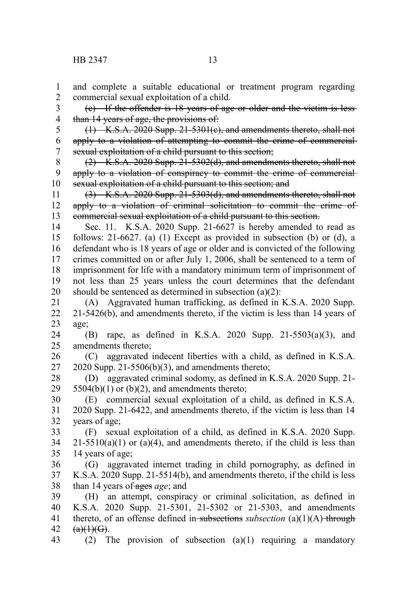and complete a suitable educational or treatment program regarding commercial sexual exploitation of a child. 1 2

(c) If the offender is 18 years of age or older and the victim is less than 14 years of age, the provisions of: 3 4

(1) K.S.A. 2020 Supp. 21-5301(c), and amendments thereto, shall not apply to a violation of attempting to commit the crime of commercialsexual exploitation of a child pursuant to this section; 5 6 7

(2) K.S.A. 2020 Supp. 21-5302(d), and amendments thereto, shall not apply to a violation of conspiracy to commit the crime of commercialsexual exploitation of a child pursuant to this section; and 8 9 10

(3) K.S.A. 2020 Supp. 21-5303(d), and amendments thereto, shall not apply to a violation of criminal solicitation to commit the crime of commercial sexual exploitation of a child pursuant to this section. 11 12 13

Sec. 11. K.S.A. 2020 Supp. 21-6627 is hereby amended to read as follows: 21-6627. (a) (1) Except as provided in subsection (b) or (d), a defendant who is 18 years of age or older and is convicted of the following crimes committed on or after July 1, 2006, shall be sentenced to a term of imprisonment for life with a mandatory minimum term of imprisonment of not less than 25 years unless the court determines that the defendant should be sentenced as determined in subsection (a)(2): 14 15 16 17 18 19 20

(A) Aggravated human trafficking, as defined in K.S.A. 2020 Supp. 21-5426(b), and amendments thereto, if the victim is less than 14 years of age; 21 22 23

(B) rape, as defined in K.S.A. 2020 Supp. 21-5503(a)(3), and amendments thereto; 24 25

(C) aggravated indecent liberties with a child, as defined in K.S.A.  $2020$  Supp.  $21-5506(b)(3)$ , and amendments thereto; 26 27

(D) aggravated criminal sodomy, as defined in K.S.A. 2020 Supp. 21-  $5504(b)(1)$  or  $(b)(2)$ , and amendments thereto; 28 29

(E) commercial sexual exploitation of a child, as defined in K.S.A. 2020 Supp. 21-6422, and amendments thereto, if the victim is less than 14 years of age; 30 31 32

(F) sexual exploitation of a child, as defined in K.S.A. 2020 Supp.  $21-5510(a)(1)$  or  $(a)(4)$ , and amendments thereto, if the child is less than 14 years of age; 33 34 35

(G) aggravated internet trading in child pornography, as defined in K.S.A. 2020 Supp. 21-5514(b), and amendments thereto, if the child is less than 14 years of ages *age*; and 36 37 38

(H) an attempt, conspiracy or criminal solicitation, as defined in K.S.A. 2020 Supp. 21-5301, 21-5302 or 21-5303, and amendments thereto, of an offense defined in-subsections *subsection* (a)(1)(A) through  $(a)(1)(G)$ . 39 40 41 42

(2) The provision of subsection (a)(1) requiring a mandatory 43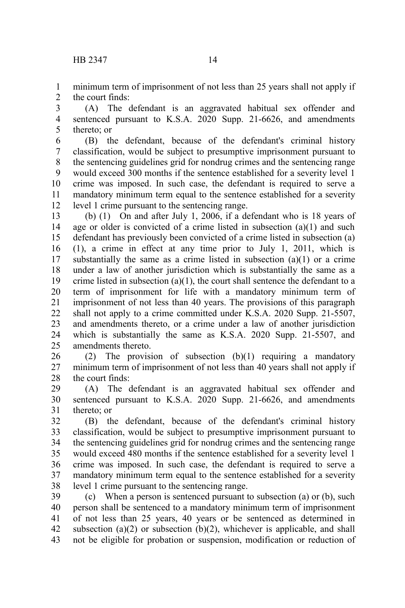minimum term of imprisonment of not less than 25 years shall not apply if the court finds: 1 2

(A) The defendant is an aggravated habitual sex offender and sentenced pursuant to K.S.A. 2020 Supp. 21-6626, and amendments thereto; or 3 4 5

(B) the defendant, because of the defendant's criminal history classification, would be subject to presumptive imprisonment pursuant to the sentencing guidelines grid for nondrug crimes and the sentencing range would exceed 300 months if the sentence established for a severity level 1 crime was imposed. In such case, the defendant is required to serve a mandatory minimum term equal to the sentence established for a severity level 1 crime pursuant to the sentencing range. 6 7 8 9 10 11 12

(b) (1) On and after July 1, 2006, if a defendant who is 18 years of age or older is convicted of a crime listed in subsection  $(a)(1)$  and such defendant has previously been convicted of a crime listed in subsection (a) (1), a crime in effect at any time prior to July 1, 2011, which is substantially the same as a crime listed in subsection  $(a)(1)$  or a crime under a law of another jurisdiction which is substantially the same as a crime listed in subsection  $(a)(1)$ , the court shall sentence the defendant to a term of imprisonment for life with a mandatory minimum term of imprisonment of not less than 40 years. The provisions of this paragraph shall not apply to a crime committed under K.S.A. 2020 Supp. 21-5507, and amendments thereto, or a crime under a law of another jurisdiction which is substantially the same as K.S.A. 2020 Supp. 21-5507, and amendments thereto. 13 14 15 16 17 18 19 20 21 22 23 24 25

(2) The provision of subsection (b)(1) requiring a mandatory minimum term of imprisonment of not less than 40 years shall not apply if the court finds: 26 27 28

(A) The defendant is an aggravated habitual sex offender and sentenced pursuant to K.S.A. 2020 Supp. 21-6626, and amendments thereto; or 29 30 31

(B) the defendant, because of the defendant's criminal history classification, would be subject to presumptive imprisonment pursuant to the sentencing guidelines grid for nondrug crimes and the sentencing range would exceed 480 months if the sentence established for a severity level 1 crime was imposed. In such case, the defendant is required to serve a mandatory minimum term equal to the sentence established for a severity level 1 crime pursuant to the sentencing range. 32 33 34 35 36 37 38

(c) When a person is sentenced pursuant to subsection (a) or (b), such person shall be sentenced to a mandatory minimum term of imprisonment of not less than 25 years, 40 years or be sentenced as determined in subsection (a)(2) or subsection (b)(2), whichever is applicable, and shall not be eligible for probation or suspension, modification or reduction of 39 40 41 42 43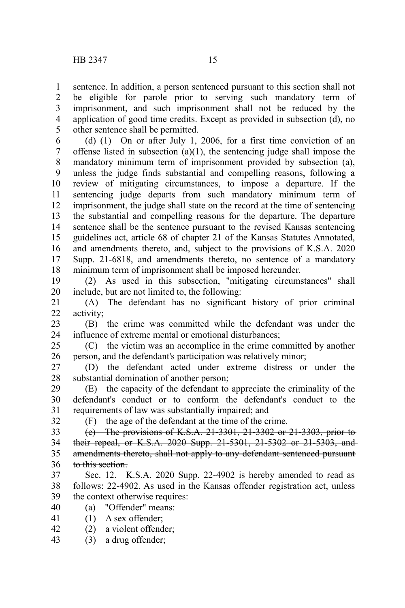sentence. In addition, a person sentenced pursuant to this section shall not be eligible for parole prior to serving such mandatory term of imprisonment, and such imprisonment shall not be reduced by the application of good time credits. Except as provided in subsection (d), no other sentence shall be permitted. 1 2 3 4 5

(d) (1) On or after July 1, 2006, for a first time conviction of an offense listed in subsection  $(a)(1)$ , the sentencing judge shall impose the mandatory minimum term of imprisonment provided by subsection (a), unless the judge finds substantial and compelling reasons, following a review of mitigating circumstances, to impose a departure. If the sentencing judge departs from such mandatory minimum term of imprisonment, the judge shall state on the record at the time of sentencing the substantial and compelling reasons for the departure. The departure sentence shall be the sentence pursuant to the revised Kansas sentencing guidelines act, article 68 of chapter 21 of the Kansas Statutes Annotated, and amendments thereto, and, subject to the provisions of K.S.A. 2020 Supp. 21-6818, and amendments thereto, no sentence of a mandatory minimum term of imprisonment shall be imposed hereunder. 6 7 8 9 10 11 12 13 14 15 16 17 18

(2) As used in this subsection, "mitigating circumstances" shall include, but are not limited to, the following: 19 20

(A) The defendant has no significant history of prior criminal activity; 21 22

(B) the crime was committed while the defendant was under the influence of extreme mental or emotional disturbances; 23 24

(C) the victim was an accomplice in the crime committed by another person, and the defendant's participation was relatively minor; 25 26

(D) the defendant acted under extreme distress or under the substantial domination of another person; 27 28

(E) the capacity of the defendant to appreciate the criminality of the defendant's conduct or to conform the defendant's conduct to the requirements of law was substantially impaired; and 29 30 31

(F) the age of the defendant at the time of the crime.

(e) The provisions of K.S.A. 21-3301, 21-3302 or 21-3303, prior to their repeal, or K.S.A. 2020 Supp. 21-5301, 21-5302 or 21-5303, and amendments thereto, shall not apply to any defendant sentenced pursuant to this section. 33 34 35 36

- Sec. 12. K.S.A. 2020 Supp. 22-4902 is hereby amended to read as follows: 22-4902. As used in the Kansas offender registration act, unless the context otherwise requires: 37 38 39
- (a) "Offender" means: 40
- (1) A sex offender; 41

32

- (2) a violent offender; 42
- (3) a drug offender; 43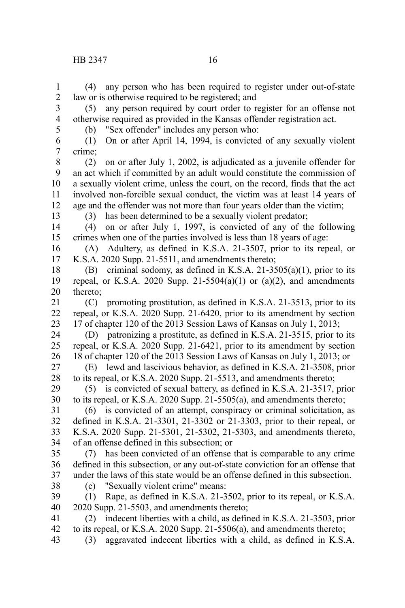(4) any person who has been required to register under out-of-state law or is otherwise required to be registered; and 1 2

(5) any person required by court order to register for an offense not otherwise required as provided in the Kansas offender registration act. 3 4

5

(b) "Sex offender" includes any person who:

(1) On or after April 14, 1994, is convicted of any sexually violent crime; 6 7

(2) on or after July 1, 2002, is adjudicated as a juvenile offender for an act which if committed by an adult would constitute the commission of a sexually violent crime, unless the court, on the record, finds that the act involved non-forcible sexual conduct, the victim was at least 14 years of age and the offender was not more than four years older than the victim; 8 9 10 11 12

13

(3) has been determined to be a sexually violent predator;

(4) on or after July 1, 1997, is convicted of any of the following crimes when one of the parties involved is less than 18 years of age: 14 15

(A) Adultery, as defined in K.S.A. 21-3507, prior to its repeal, or K.S.A. 2020 Supp. 21-5511, and amendments thereto; 16 17

(B) criminal sodomy, as defined in K.S.A. 21-3505(a)(1), prior to its repeal, or K.S.A. 2020 Supp. 21-5504(a)(1) or (a)(2), and amendments thereto; 18 19 20

(C) promoting prostitution, as defined in K.S.A. 21-3513, prior to its repeal, or K.S.A. 2020 Supp. 21-6420, prior to its amendment by section 17 of chapter 120 of the 2013 Session Laws of Kansas on July 1, 2013; 21 22 23

(D) patronizing a prostitute, as defined in K.S.A. 21-3515, prior to its repeal, or K.S.A. 2020 Supp. 21-6421, prior to its amendment by section 18 of chapter 120 of the 2013 Session Laws of Kansas on July 1, 2013; or 24 25 26

(E) lewd and lascivious behavior, as defined in K.S.A. 21-3508, prior to its repeal, or K.S.A. 2020 Supp. 21-5513, and amendments thereto; 27 28

(5) is convicted of sexual battery, as defined in K.S.A. 21-3517, prior to its repeal, or K.S.A. 2020 Supp. 21-5505(a), and amendments thereto; 29 30

(6) is convicted of an attempt, conspiracy or criminal solicitation, as defined in K.S.A. 21-3301, 21-3302 or 21-3303, prior to their repeal, or K.S.A. 2020 Supp. 21-5301, 21-5302, 21-5303, and amendments thereto, of an offense defined in this subsection; or 31 32 33 34

(7) has been convicted of an offense that is comparable to any crime defined in this subsection, or any out-of-state conviction for an offense that under the laws of this state would be an offense defined in this subsection. 35 36 37

38

(c) "Sexually violent crime" means:

(1) Rape, as defined in K.S.A. 21-3502, prior to its repeal, or K.S.A. 2020 Supp. 21-5503, and amendments thereto; 39 40

(2) indecent liberties with a child, as defined in K.S.A. 21-3503, prior to its repeal, or K.S.A. 2020 Supp. 21-5506(a), and amendments thereto; 41 42 43

(3) aggravated indecent liberties with a child, as defined in K.S.A.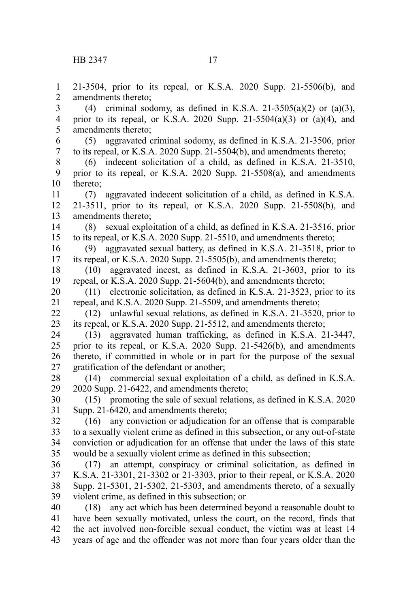21-3504, prior to its repeal, or K.S.A. 2020 Supp. 21-5506(b), and amendments thereto; (4) criminal sodomy, as defined in K.S.A. 21-3505(a)(2) or (a)(3), prior to its repeal, or K.S.A. 2020 Supp. 21-5504(a)(3) or (a)(4), and amendments thereto; (5) aggravated criminal sodomy, as defined in K.S.A. 21-3506, prior to its repeal, or K.S.A. 2020 Supp. 21-5504(b), and amendments thereto; (6) indecent solicitation of a child, as defined in K.S.A. 21-3510, prior to its repeal, or K.S.A. 2020 Supp. 21-5508(a), and amendments thereto; (7) aggravated indecent solicitation of a child, as defined in K.S.A. 21-3511, prior to its repeal, or K.S.A. 2020 Supp. 21-5508(b), and amendments thereto; (8) sexual exploitation of a child, as defined in K.S.A. 21-3516, prior to its repeal, or K.S.A. 2020 Supp. 21-5510, and amendments thereto; (9) aggravated sexual battery, as defined in K.S.A. 21-3518, prior to its repeal, or K.S.A. 2020 Supp. 21-5505(b), and amendments thereto; (10) aggravated incest, as defined in K.S.A. 21-3603, prior to its repeal, or K.S.A. 2020 Supp. 21-5604(b), and amendments thereto; (11) electronic solicitation, as defined in K.S.A. 21-3523, prior to its repeal, and K.S.A. 2020 Supp. 21-5509, and amendments thereto; (12) unlawful sexual relations, as defined in K.S.A. 21-3520, prior to its repeal, or K.S.A. 2020 Supp. 21-5512, and amendments thereto; (13) aggravated human trafficking, as defined in K.S.A. 21-3447, prior to its repeal, or K.S.A. 2020 Supp. 21-5426(b), and amendments thereto, if committed in whole or in part for the purpose of the sexual gratification of the defendant or another; (14) commercial sexual exploitation of a child, as defined in K.S.A. 2020 Supp. 21-6422, and amendments thereto; (15) promoting the sale of sexual relations, as defined in K.S.A. 2020 Supp. 21-6420, and amendments thereto; (16) any conviction or adjudication for an offense that is comparable to a sexually violent crime as defined in this subsection, or any out-of-state conviction or adjudication for an offense that under the laws of this state would be a sexually violent crime as defined in this subsection; (17) an attempt, conspiracy or criminal solicitation, as defined in K.S.A. 21-3301, 21-3302 or 21-3303, prior to their repeal, or K.S.A. 2020 Supp. 21-5301, 21-5302, 21-5303, and amendments thereto, of a sexually violent crime, as defined in this subsection; or (18) any act which has been determined beyond a reasonable doubt to have been sexually motivated, unless the court, on the record, finds that the act involved non-forcible sexual conduct, the victim was at least 14 1 2 3 4 5 6 7 8 9 10 11 12 13 14 15 16 17 18 19 20 21 22 23 24 25 26 27 28 29 30 31 32 33 34 35 36 37 38 39 40 41 42

years of age and the offender was not more than four years older than the 43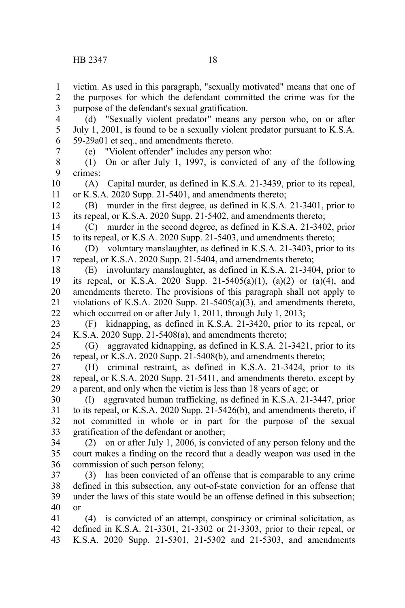(d) "Sexually violent predator" means any person who, on or after July 1, 2001, is found to be a sexually violent predator pursuant to K.S.A. 59-29a01 et seq., and amendments thereto. 4 5 6

7

(e) "Violent offender" includes any person who:

(1) On or after July 1, 1997, is convicted of any of the following crimes: 8 9

(A) Capital murder, as defined in K.S.A. 21-3439, prior to its repeal, or K.S.A. 2020 Supp. 21-5401, and amendments thereto; 10 11

(B) murder in the first degree, as defined in K.S.A. 21-3401, prior to its repeal, or K.S.A. 2020 Supp. 21-5402, and amendments thereto; 12 13

(C) murder in the second degree, as defined in K.S.A. 21-3402, prior to its repeal, or K.S.A. 2020 Supp. 21-5403, and amendments thereto; 14 15

(D) voluntary manslaughter, as defined in K.S.A. 21-3403, prior to its repeal, or K.S.A. 2020 Supp. 21-5404, and amendments thereto; 16 17

(E) involuntary manslaughter, as defined in K.S.A. 21-3404, prior to its repeal, or K.S.A. 2020 Supp. 21-5405(a)(1), (a)(2) or (a)(4), and amendments thereto. The provisions of this paragraph shall not apply to violations of K.S.A. 2020 Supp. 21-5405(a)(3), and amendments thereto, which occurred on or after July 1, 2011, through July 1, 2013; 18 19 20 21 22

(F) kidnapping, as defined in K.S.A. 21-3420, prior to its repeal, or K.S.A. 2020 Supp. 21-5408(a), and amendments thereto; 23 24

(G) aggravated kidnapping, as defined in K.S.A. 21-3421, prior to its repeal, or K.S.A. 2020 Supp. 21-5408(b), and amendments thereto; 25 26

(H) criminal restraint, as defined in K.S.A. 21-3424, prior to its repeal, or K.S.A. 2020 Supp. 21-5411, and amendments thereto, except by a parent, and only when the victim is less than 18 years of age; or 27 28 29

(I) aggravated human trafficking, as defined in K.S.A. 21-3447, prior to its repeal, or K.S.A. 2020 Supp. 21-5426(b), and amendments thereto, if not committed in whole or in part for the purpose of the sexual gratification of the defendant or another; 30 31 32 33

(2) on or after July 1, 2006, is convicted of any person felony and the court makes a finding on the record that a deadly weapon was used in the commission of such person felony; 34 35 36

(3) has been convicted of an offense that is comparable to any crime defined in this subsection, any out-of-state conviction for an offense that under the laws of this state would be an offense defined in this subsection; or 37 38 39 40

(4) is convicted of an attempt, conspiracy or criminal solicitation, as defined in K.S.A. 21-3301, 21-3302 or 21-3303, prior to their repeal, or K.S.A. 2020 Supp. 21-5301, 21-5302 and 21-5303, and amendments 41 42 43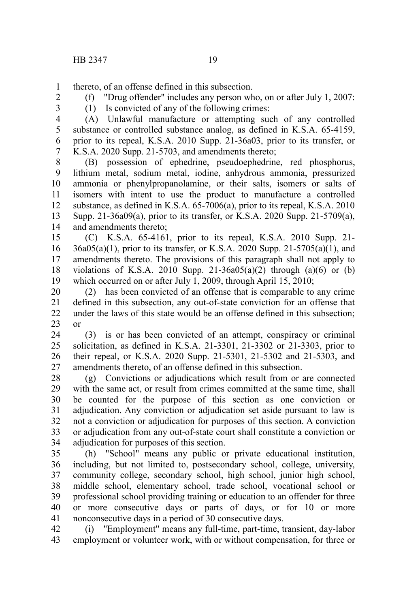thereto, of an offense defined in this subsection. 1

2 3 (f) "Drug offender" includes any person who, on or after July 1, 2007: (1) Is convicted of any of the following crimes:

(A) Unlawful manufacture or attempting such of any controlled substance or controlled substance analog, as defined in K.S.A. 65-4159, prior to its repeal, K.S.A. 2010 Supp. 21-36a03, prior to its transfer, or K.S.A. 2020 Supp. 21-5703, and amendments thereto; 4 5 6 7

(B) possession of ephedrine, pseudoephedrine, red phosphorus, lithium metal, sodium metal, iodine, anhydrous ammonia, pressurized ammonia or phenylpropanolamine, or their salts, isomers or salts of isomers with intent to use the product to manufacture a controlled substance, as defined in K.S.A. 65-7006(a), prior to its repeal, K.S.A. 2010 Supp. 21-36a09(a), prior to its transfer, or K.S.A. 2020 Supp. 21-5709(a), and amendments thereto; 8 9 10 11 12 13 14

(C) K.S.A. 65-4161, prior to its repeal, K.S.A. 2010 Supp. 21- 36a05(a)(1), prior to its transfer, or K.S.A. 2020 Supp. 21-5705(a)(1), and amendments thereto. The provisions of this paragraph shall not apply to violations of K.S.A. 2010 Supp.  $21-36a05(a)(2)$  through  $(a)(6)$  or  $(b)$ which occurred on or after July 1, 2009, through April 15, 2010; 15 16 17 18 19

(2) has been convicted of an offense that is comparable to any crime defined in this subsection, any out-of-state conviction for an offense that under the laws of this state would be an offense defined in this subsection; or 20 21 22 23

(3) is or has been convicted of an attempt, conspiracy or criminal solicitation, as defined in K.S.A. 21-3301, 21-3302 or 21-3303, prior to their repeal, or K.S.A. 2020 Supp. 21-5301, 21-5302 and 21-5303, and amendments thereto, of an offense defined in this subsection. 24 25 26 27

(g) Convictions or adjudications which result from or are connected with the same act, or result from crimes committed at the same time, shall be counted for the purpose of this section as one conviction or adjudication. Any conviction or adjudication set aside pursuant to law is not a conviction or adjudication for purposes of this section. A conviction or adjudication from any out-of-state court shall constitute a conviction or adjudication for purposes of this section. 28 29 30 31 32 33 34

(h) "School" means any public or private educational institution, including, but not limited to, postsecondary school, college, university, community college, secondary school, high school, junior high school, middle school, elementary school, trade school, vocational school or professional school providing training or education to an offender for three or more consecutive days or parts of days, or for 10 or more nonconsecutive days in a period of 30 consecutive days. 35 36 37 38 39 40 41

(i) "Employment" means any full-time, part-time, transient, day-labor employment or volunteer work, with or without compensation, for three or 42 43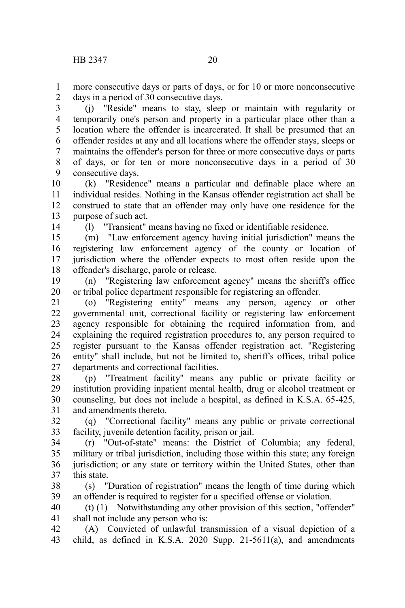more consecutive days or parts of days, or for 10 or more nonconsecutive days in a period of 30 consecutive days. 1 2

(j) "Reside" means to stay, sleep or maintain with regularity or temporarily one's person and property in a particular place other than a location where the offender is incarcerated. It shall be presumed that an offender resides at any and all locations where the offender stays, sleeps or maintains the offender's person for three or more consecutive days or parts of days, or for ten or more nonconsecutive days in a period of 30 consecutive days. 3 4 5 6 7 8 9

(k) "Residence" means a particular and definable place where an individual resides. Nothing in the Kansas offender registration act shall be construed to state that an offender may only have one residence for the purpose of such act. 10 11 12 13

14

(l) "Transient" means having no fixed or identifiable residence.

(m) "Law enforcement agency having initial jurisdiction" means the registering law enforcement agency of the county or location of jurisdiction where the offender expects to most often reside upon the offender's discharge, parole or release. 15 16 17 18

(n) "Registering law enforcement agency" means the sheriff's office or tribal police department responsible for registering an offender. 19 20

(o) "Registering entity" means any person, agency or other governmental unit, correctional facility or registering law enforcement agency responsible for obtaining the required information from, and explaining the required registration procedures to, any person required to register pursuant to the Kansas offender registration act. "Registering entity" shall include, but not be limited to, sheriff's offices, tribal police departments and correctional facilities. 21 22 23 24 25 26 27

(p) "Treatment facility" means any public or private facility or institution providing inpatient mental health, drug or alcohol treatment or counseling, but does not include a hospital, as defined in K.S.A. 65-425, and amendments thereto. 28 29 30 31

(q) "Correctional facility" means any public or private correctional facility, juvenile detention facility, prison or jail. 32 33

(r) "Out-of-state" means: the District of Columbia; any federal, military or tribal jurisdiction, including those within this state; any foreign jurisdiction; or any state or territory within the United States, other than this state. 34 35 36 37

(s) "Duration of registration" means the length of time during which an offender is required to register for a specified offense or violation. 38 39

(t) (1) Notwithstanding any other provision of this section, "offender" shall not include any person who is: 40 41

(A) Convicted of unlawful transmission of a visual depiction of a child, as defined in K.S.A. 2020 Supp. 21-5611(a), and amendments 42 43